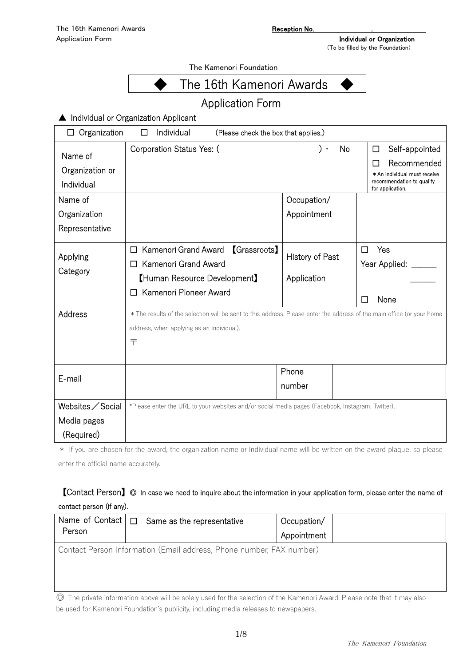The Kamenori Foundation



# Application Form

▲ Individual or Organization Applicant

| Organization<br>Individual<br>(Please check the box that applies.)<br>$\Box$<br>ப |                                                                                                                        |                 |                                                           |
|-----------------------------------------------------------------------------------|------------------------------------------------------------------------------------------------------------------------|-----------------|-----------------------------------------------------------|
| Name of                                                                           | Corporation Status Yes: (                                                                                              | No<br>. (       | Self-appointed<br>□<br>Recommended<br>П                   |
| Organization or<br>Individual                                                     |                                                                                                                        |                 | * An individual must receive<br>recommendation to qualify |
| Name of                                                                           |                                                                                                                        | Occupation/     | for application.                                          |
|                                                                                   |                                                                                                                        |                 |                                                           |
| Organization                                                                      |                                                                                                                        | Appointment     |                                                           |
| Representative                                                                    |                                                                                                                        |                 |                                                           |
|                                                                                   | Kamenori Grand Award<br><b>[Grassroots]</b>                                                                            |                 | Yes<br>П                                                  |
| Applying                                                                          | Kamenori Grand Award<br>$\mathsf{L}$                                                                                   | History of Past | Year Applied:                                             |
| Category                                                                          | [Human Resource Development]                                                                                           | Application     |                                                           |
|                                                                                   | Kamenori Pioneer Award                                                                                                 |                 | None                                                      |
| Address                                                                           | * The results of the selection will be sent to this address. Please enter the address of the main office (or your home |                 |                                                           |
|                                                                                   | address, when applying as an individual).                                                                              |                 |                                                           |
|                                                                                   | 〒                                                                                                                      |                 |                                                           |
|                                                                                   |                                                                                                                        |                 |                                                           |
|                                                                                   |                                                                                                                        | Phone           |                                                           |
| E-mail                                                                            |                                                                                                                        | number          |                                                           |
|                                                                                   |                                                                                                                        |                 |                                                           |
| Websites / Social                                                                 | *Please enter the URL to your websites and/or social media pages (Facebook, Instagram, Twitter).                       |                 |                                                           |
| Media pages                                                                       |                                                                                                                        |                 |                                                           |
| (Required)                                                                        | and the second control of the                                                                                          | <b>ALL 10</b>   |                                                           |

\* If you are chosen for the award, the organization name or individual name will be written on the award plaque, so please enter the official name accurately.

# 【Contact Person】◎ In case we need to inquire about the information in your application form, please enter the name of contact person (if any).

| Person | Name of Contact $\Box$ Same as the representative                    | Occupation/<br>Appointment |  |
|--------|----------------------------------------------------------------------|----------------------------|--|
|        | Contact Person Information (Email address, Phone number, FAX number) |                            |  |

◎ The private information above will be solely used for the selection of the Kamenori Award. Please note that it may also be used for Kamenori Foundation's publicity, including media releases to newspapers.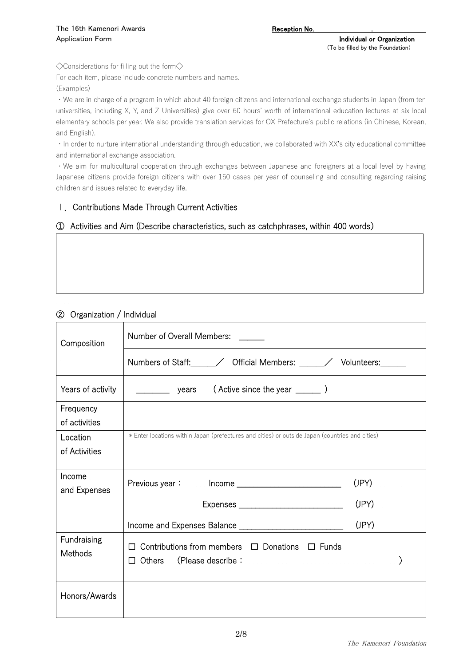◇Considerations for filling out the form◇

For each item, please include concrete numbers and names.

(Examples)

・We are in charge of a program in which about 40 foreign citizens and international exchange students in Japan (from ten universities, including X, Y, and Z Universities) give over 60 hours' worth of international education lectures at six local elementary schools per year. We also provide translation services for OX Prefecture's public relations (in Chinese, Korean, and English).

・In order to nurture international understanding through education, we collaborated with XX's city educational committee and international exchange association.

・We aim for multicultural cooperation through exchanges between Japanese and foreigners at a local level by having Japanese citizens provide foreign citizens with over 150 cases per year of counseling and consulting regarding raising children and issues related to everyday life.

# Ⅰ.Contributions Made Through Current Activities

### ① Activities and Aim (Describe characteristics, such as catchphrases, within 400 words)

### ② Organization / Individual

|                   | Number of Overall Members: _____                                                                |       |  |  |
|-------------------|-------------------------------------------------------------------------------------------------|-------|--|--|
| Composition       |                                                                                                 |       |  |  |
|                   | Numbers of Staff: _____/ Official Members: _____/ Volunteers: ____                              |       |  |  |
| Years of activity | $($ Active since the year $\frac{1}{\sqrt{2}}$<br>________________ years                        |       |  |  |
| Frequency         |                                                                                                 |       |  |  |
| of activities     |                                                                                                 |       |  |  |
| Location          | * Enter locations within Japan (prefectures and cities) or outside Japan (countries and cities) |       |  |  |
| of Activities     |                                                                                                 |       |  |  |
|                   |                                                                                                 |       |  |  |
| Income            |                                                                                                 | (JPY) |  |  |
| and Expenses      |                                                                                                 |       |  |  |
|                   | (JPY)<br>(JPY)                                                                                  |       |  |  |
|                   |                                                                                                 |       |  |  |
| Fundraising       | $\Box$ Contributions from members $\Box$ Donations $\Box$ Funds                                 |       |  |  |
| Methods           | $\Box$ Others (Please describe:                                                                 |       |  |  |
|                   |                                                                                                 |       |  |  |
|                   |                                                                                                 |       |  |  |
| Honors/Awards     |                                                                                                 |       |  |  |
|                   |                                                                                                 |       |  |  |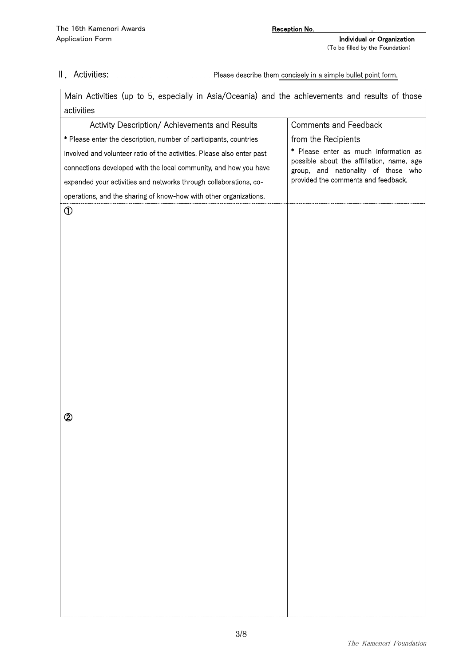Ⅱ.Activities: Please describe them concisely in a simple bullet point form.

| Main Activities (up to 5, especially in Asia/Oceania) and the achievements and results of those |                                                                                  |  |
|-------------------------------------------------------------------------------------------------|----------------------------------------------------------------------------------|--|
| activities                                                                                      |                                                                                  |  |
| Activity Description/ Achievements and Results                                                  | <b>Comments and Feedback</b>                                                     |  |
| * Please enter the description, number of participants, countries                               | from the Recipients                                                              |  |
| involved and volunteer ratio of the activities. Please also enter past                          | * Please enter as much information as                                            |  |
| connections developed with the local community, and how you have                                | possible about the affiliation, name, age<br>group, and nationality of those who |  |
| expanded your activities and networks through collaborations, co-                               | provided the comments and feedback.                                              |  |
| operations, and the sharing of know-how with other organizations.                               |                                                                                  |  |
| $^\circledR$                                                                                    |                                                                                  |  |
|                                                                                                 |                                                                                  |  |
|                                                                                                 |                                                                                  |  |
|                                                                                                 |                                                                                  |  |
|                                                                                                 |                                                                                  |  |
|                                                                                                 |                                                                                  |  |
|                                                                                                 |                                                                                  |  |
|                                                                                                 |                                                                                  |  |
|                                                                                                 |                                                                                  |  |
|                                                                                                 |                                                                                  |  |
|                                                                                                 |                                                                                  |  |
|                                                                                                 |                                                                                  |  |
|                                                                                                 |                                                                                  |  |
|                                                                                                 |                                                                                  |  |
|                                                                                                 |                                                                                  |  |
| $^{\circledR}$                                                                                  |                                                                                  |  |
|                                                                                                 |                                                                                  |  |
|                                                                                                 |                                                                                  |  |
|                                                                                                 |                                                                                  |  |
|                                                                                                 |                                                                                  |  |
|                                                                                                 |                                                                                  |  |
|                                                                                                 |                                                                                  |  |
|                                                                                                 |                                                                                  |  |
|                                                                                                 |                                                                                  |  |
|                                                                                                 |                                                                                  |  |
|                                                                                                 |                                                                                  |  |
|                                                                                                 |                                                                                  |  |
|                                                                                                 |                                                                                  |  |
|                                                                                                 |                                                                                  |  |
|                                                                                                 |                                                                                  |  |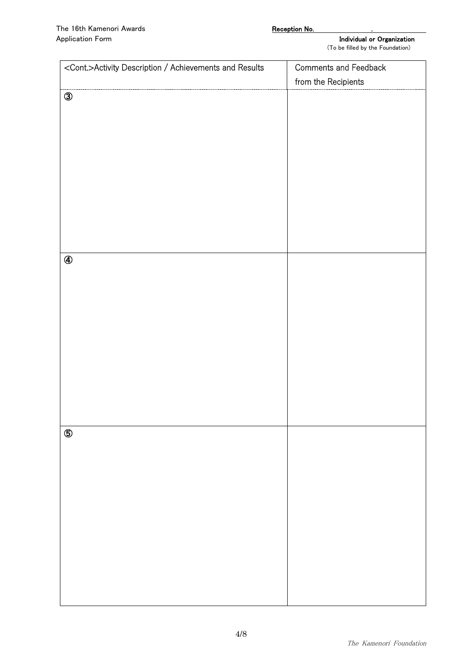| <cont.>Activity Description / Achievements and Results</cont.> | Comments and Feedback |
|----------------------------------------------------------------|-----------------------|
|                                                                | from the Recipients   |
| $\circledS$                                                    |                       |
|                                                                |                       |
|                                                                |                       |
|                                                                |                       |
|                                                                |                       |
|                                                                |                       |
|                                                                |                       |
|                                                                |                       |
|                                                                |                       |
|                                                                |                       |
|                                                                |                       |
| $\circledA$                                                    |                       |
|                                                                |                       |
|                                                                |                       |
|                                                                |                       |
|                                                                |                       |
|                                                                |                       |
|                                                                |                       |
|                                                                |                       |
|                                                                |                       |
|                                                                |                       |
|                                                                |                       |
|                                                                |                       |
| $\circledS$                                                    |                       |
|                                                                |                       |
|                                                                |                       |
|                                                                |                       |
|                                                                |                       |
|                                                                |                       |
|                                                                |                       |
|                                                                |                       |
|                                                                |                       |
|                                                                |                       |
|                                                                |                       |
|                                                                |                       |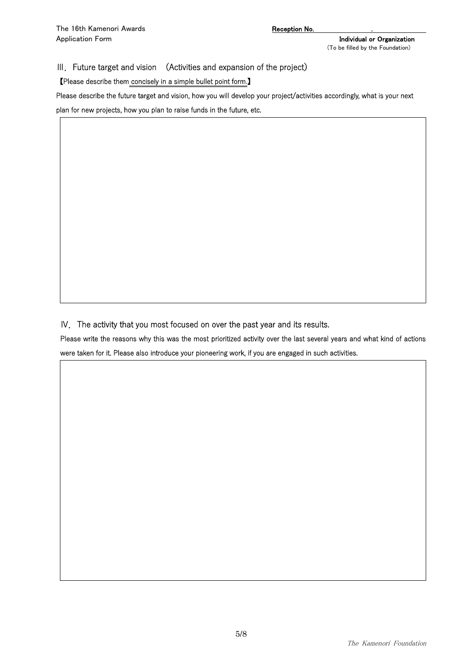III. Future target and vision (Activities and expansion of the project)

【Please describe them concisely in a simple bullet point form.】

Please describe the future target and vision, how you will develop your project/activities accordingly, what is your next

plan for new projects, how you plan to raise funds in the future, etc.

Ⅳ.The activity that you most focused on over the past year and its results.

Please write the reasons why this was the most prioritized activity over the last several years and what kind of actions were taken for it. Please also introduce your pioneering work, if you are engaged in such activities.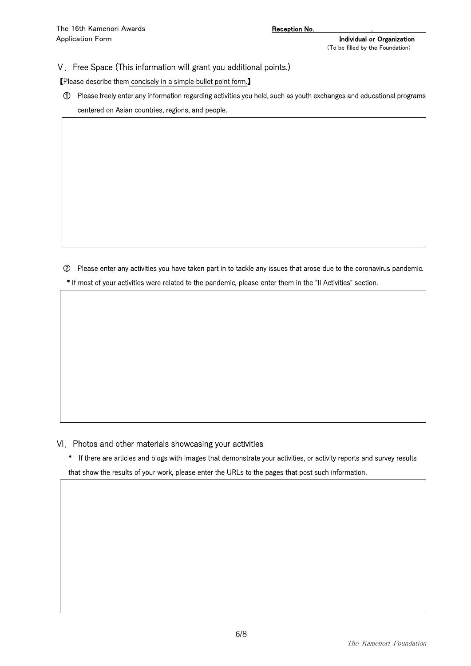#### Ⅴ.Free Space (This information will grant you additional points.)

#### 【Please describe them concisely in a simple bullet point form.】

① Please freely enter any information regarding activities you held, such as youth exchanges and educational programs centered on Asian countries, regions, and people.

② Please enter any activities you have taken part in to tackle any issues that arose due to the coronavirus pandemic. \* If most of your activities were related to the pandemic, please enter them in the "II Activities" section.

Ⅵ.Photos and other materials showcasing your activities

\* If there are articles and blogs with images that demonstrate your activities, or activity reports and survey results that show the results of your work, please enter the URLs to the pages that post such information.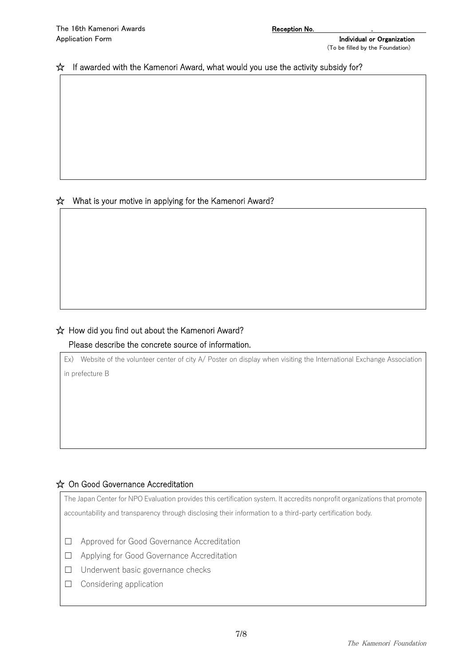### ☆ If awarded with the Kamenori Award, what would you use the activity subsidy for?

# ☆ What is your motive in applying for the Kamenori Award?

# ☆ How did you find out about the Kamenori Award?

# Please describe the concrete source of information.

Ex) Website of the volunteer center of city A/ Poster on display when visiting the International Exchange Association

in prefecture B

# ☆ On Good Governance Accreditation

The Japan Center for NPO Evaluation provides this certification system. It accredits nonprofit organizations that promote accountability and transparency through disclosing their information to a third-party certification body.

- ☐ Approved for Good Governance Accreditation
- ☐ Applying for Good Governance Accreditation
- ☐ Underwent basic governance checks
- ☐ Considering application